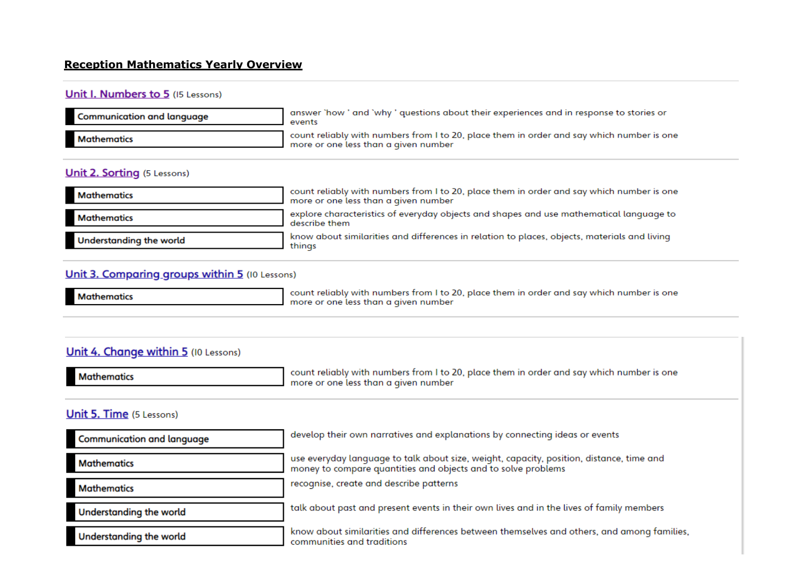#### **Reception Mathematics Yearly Overview**

#### Unit I. Numbers to 5 (15 Lessons)

| <b>Communication and language</b> | answer `how ' and `why ' questions about their experiences and in response to stories or<br>events                                |
|-----------------------------------|-----------------------------------------------------------------------------------------------------------------------------------|
| <b>Mathematics</b>                | count reliably with numbers from I to 20, place them in order and say which number is one<br>more or one less than a given number |

#### **Unit 2. Sorting (5 Lessons)**

| <b>Mathematics</b>      | count reliably with numbers from I to 20, place them in order and say which number is one<br>more or one less than a given number |
|-------------------------|-----------------------------------------------------------------------------------------------------------------------------------|
| <b>Mathematics</b>      | explore characteristics of everyday objects and shapes and use mathematical language to<br>describe them                          |
| Understanding the world | know about similarities and differences in relation to places, objects, materials and living<br>things                            |

### Unit 3. Comparing groups within 5 (10 Lessons)

**Mathematics** 

count reliably with numbers from I to 20, place them in order and say which number is one more or one less than a given number

### Unit 4. Change within 5 (10 Lessons)

| <b>Mathematics</b> | count reliably with numbers from I to 20, place them in order and say which number is one<br>more or one less than a given number |
|--------------------|-----------------------------------------------------------------------------------------------------------------------------------|
|                    |                                                                                                                                   |

### Unit 5. Time (5 Lessons)

| <b>Communication and language</b> | develop their own narratives and explanations by connecting ideas or events                                                                               |
|-----------------------------------|-----------------------------------------------------------------------------------------------------------------------------------------------------------|
| Mathematics                       | use everyday language to talk about size, weight, capacity, position, distance, time and<br>money to compare quantities and objects and to solve problems |
| <b>Mathematics</b>                | recognise, create and describe patterns                                                                                                                   |
| Understanding the world           | talk about past and present events in their own lives and in the lives of family members                                                                  |
| Understanding the world           | know about similarities and differences between themselves and others, and among families,<br>communities and traditions                                  |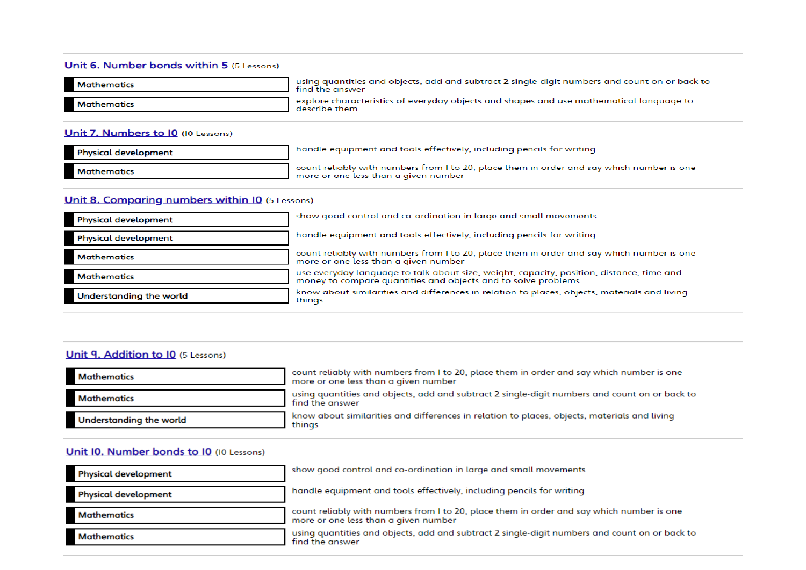#### Unit 6. Number bonds within 5 (5 Lessons)

| <b>Mathematics</b> | using quantities and objects, add and subtract 2 single-digit numbers and count on or back to<br>find the answer |
|--------------------|------------------------------------------------------------------------------------------------------------------|
| Mathematics        | explore characteristics of everyday objects and shapes and use mathematical language to<br>describe them         |

#### Unit 7. Numbers to 10 (10 Lessons)

| <b>Physical development</b> | handle equipment and tools effectively, including pencils for writing                                                             |
|-----------------------------|-----------------------------------------------------------------------------------------------------------------------------------|
| <b>Mathematics</b>          | count reliably with numbers from I to 20, place them in order and say which number is one<br>more or one less than a given number |

#### Unit 8. Comparing numbers within 10 (5 Lessons)

| <b>Physical development</b> | show good control and co-ordination in large and small movements                                                                                          |
|-----------------------------|-----------------------------------------------------------------------------------------------------------------------------------------------------------|
| <b>Physical development</b> | handle equipment and tools effectively, including pencils for writing                                                                                     |
| <b>Mathematics</b>          | count reliably with numbers from I to 20, place them in order and say which number is one<br>more or one less than a given number                         |
| <b>Mathematics</b>          | use everyday language to talk about size, weight, capacity, position, distance, time and<br>money to compare quantities and objects and to solve problems |
| Understanding the world     | know about similarities and differences in relation to places, objects, materials and living<br>things                                                    |

### Unit 9. Addition to 10 (5 Lessons)

| <b>Mathematics</b>             | count reliably with numbers from I to 20, place them in order and say which number is one<br>more or one less than a given number |
|--------------------------------|-----------------------------------------------------------------------------------------------------------------------------------|
| <b>Mathematics</b>             | using quantities and objects, add and subtract 2 single-digit numbers and count on or back to<br>find the answer                  |
| <b>Understanding the world</b> | know about similarities and differences in relation to places, objects, materials and living<br>thinas                            |

#### Unit I0. Number bonds to I0 (I0 Lessons)

| <b>Physical development</b> | show good control and co-ordination in large and small movements                                                                  |
|-----------------------------|-----------------------------------------------------------------------------------------------------------------------------------|
| <b>Physical development</b> | handle equipment and tools effectively, including pencils for writing                                                             |
| <b>Mathematics</b>          | count reliably with numbers from I to 20, place them in order and say which number is one<br>more or one less than a given number |
| <b>Mathematics</b>          | using quantities and objects, add and subtract 2 single-digit numbers and count on or back to<br>find the answer                  |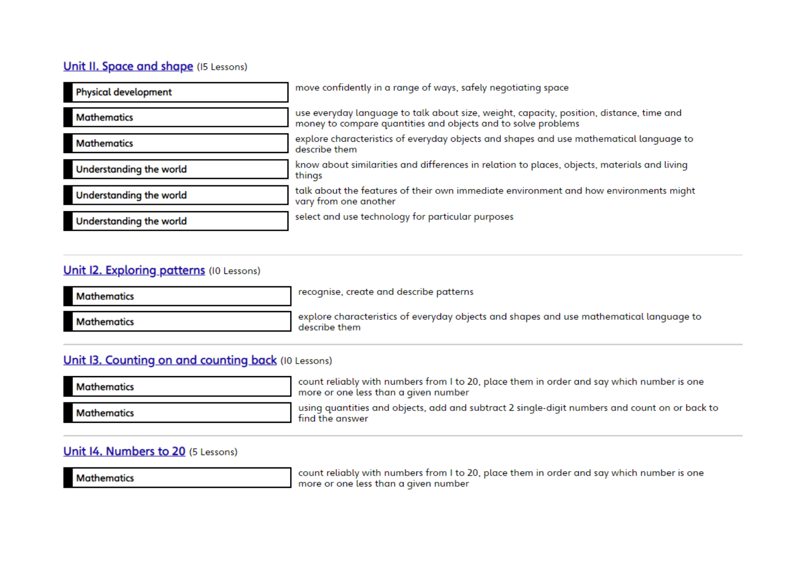# **Unit II. Space and shape (I5 Lessons)**

| <b>Physical development</b> | move confidently in a range of ways, safely negotiating space                                                                                             |
|-----------------------------|-----------------------------------------------------------------------------------------------------------------------------------------------------------|
| <b>Mathematics</b>          | use everyday language to talk about size, weight, capacity, position, distance, time and<br>money to compare quantities and objects and to solve problems |
| <b>Mathematics</b>          | explore characteristics of everyday objects and shapes and use mathematical language to<br>describe them                                                  |
| Understanding the world     | know about similarities and differences in relation to places, objects, materials and living<br>things                                                    |
| Understanding the world     | talk about the features of their own immediate environment and how environments might<br>vary from one another                                            |
| Understanding the world     | select and use technology for particular purposes                                                                                                         |

# **Unit I2. Exploring patterns (IO Lessons)**

| <b>Mathematics</b> | recognise, create and describe patterns                                                                  |
|--------------------|----------------------------------------------------------------------------------------------------------|
| <b>Mathematics</b> | explore characteristics of everyday objects and shapes and use mathematical language to<br>describe them |

# Unit I3. Counting on and counting back (IO Lessons)

| <b>Mathematics</b> | count reliably with numbers from I to 20, place them in order and say which number is one<br>more or one less than a given number |
|--------------------|-----------------------------------------------------------------------------------------------------------------------------------|
| <b>Mathematics</b> | using quantities and objects, add and subtract 2 single-digit numbers and count on or back to<br>find the answer                  |

# Unit I4. Numbers to 20 (5 Lessons)

**Mathematics** 

count reliably with numbers from I to 20, place them in order and say which number is one<br>more or one less than a given number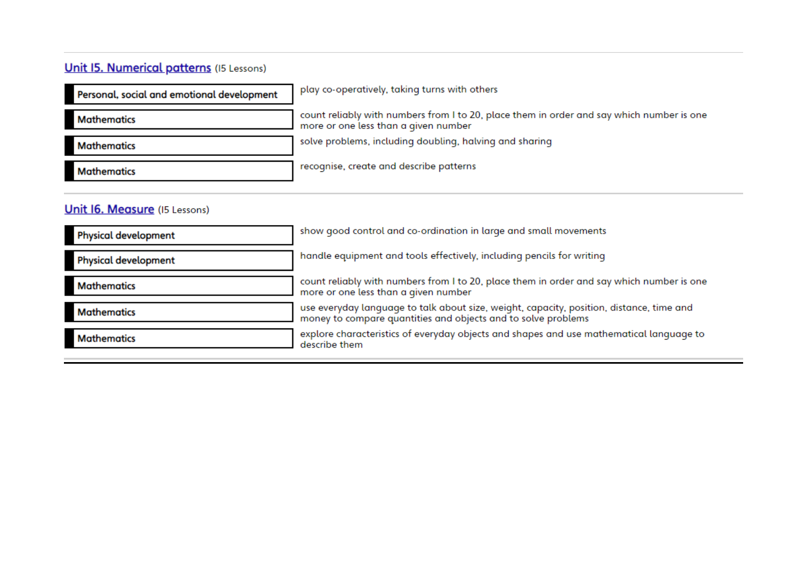# **Unit I5. Numerical patterns** (15 Lessons)

| Personal, social and emotional development | play co-operatively, taking turns with others                                                                                     |
|--------------------------------------------|-----------------------------------------------------------------------------------------------------------------------------------|
| <b>Mathematics</b>                         | count reliably with numbers from I to 20, place them in order and say which number is one<br>more or one less than a given number |
| <b>Mathematics</b>                         | solve problems, including doubling, halving and sharing                                                                           |
| <b>Mathematics</b>                         | recognise, create and describe patterns                                                                                           |

# **Unit 16. Measure** (15 Lessons)

| <b>Physical development</b> | show good control and co-ordination in large and small movements                                                                                          |
|-----------------------------|-----------------------------------------------------------------------------------------------------------------------------------------------------------|
| <b>Physical development</b> | handle equipment and tools effectively, including pencils for writing                                                                                     |
| <b>Mathematics</b>          | count reliably with numbers from I to 20, place them in order and say which number is one<br>more or one less than a given number                         |
| <b>Mathematics</b>          | use everyday language to talk about size, weight, capacity, position, distance, time and<br>money to compare quantities and objects and to solve problems |
| <b>Mathematics</b>          | explore characteristics of everyday objects and shapes and use mathematical language to<br>describe them                                                  |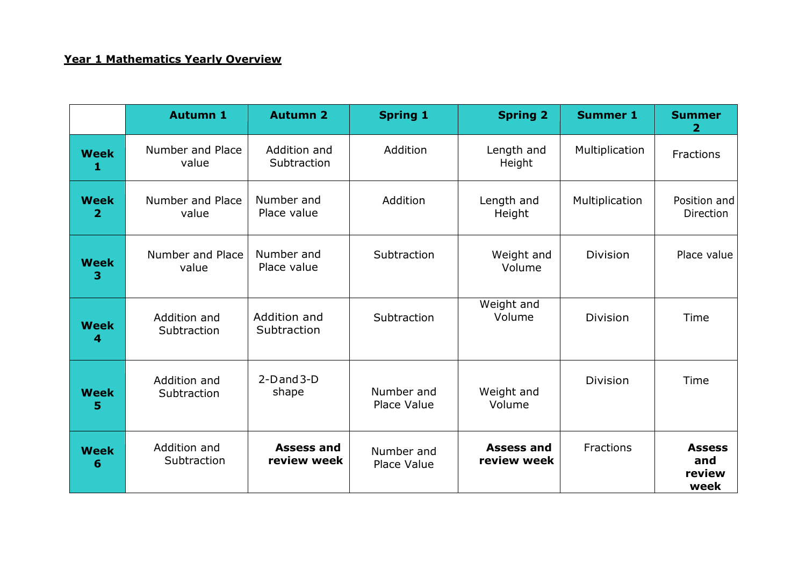# **Year 1 Mathematics Yearly Overview**

|                  | <b>Autumn 1</b>             | <b>Autumn 2</b>                  | <b>Spring 1</b>           | <b>Spring 2</b>                  | <b>Summer 1</b> | <b>Summer</b><br>$\mathbf{2}$          |
|------------------|-----------------------------|----------------------------------|---------------------------|----------------------------------|-----------------|----------------------------------------|
| <b>Week</b><br>1 | Number and Place<br>value   | Addition and<br>Subtraction      | Addition                  | Length and<br>Height             | Multiplication  | Fractions                              |
| <b>Week</b><br>2 | Number and Place<br>value   | Number and<br>Place value        | Addition                  | Length and<br>Height             | Multiplication  | Position and<br>Direction              |
| <b>Week</b><br>з | Number and Place<br>value   | Number and<br>Place value        | Subtraction               | Weight and<br>Volume             | Division        | Place value                            |
| <b>Week</b><br>4 | Addition and<br>Subtraction | Addition and<br>Subtraction      | Subtraction               | Weight and<br>Volume             | <b>Division</b> | Time                                   |
| <b>Week</b><br>5 | Addition and<br>Subtraction | $2-D$ and $3-D$<br>shape         | Number and<br>Place Value | Weight and<br>Volume             | <b>Division</b> | Time                                   |
| <b>Week</b><br>6 | Addition and<br>Subtraction | <b>Assess and</b><br>review week | Number and<br>Place Value | <b>Assess and</b><br>review week | Fractions       | <b>Assess</b><br>and<br>review<br>week |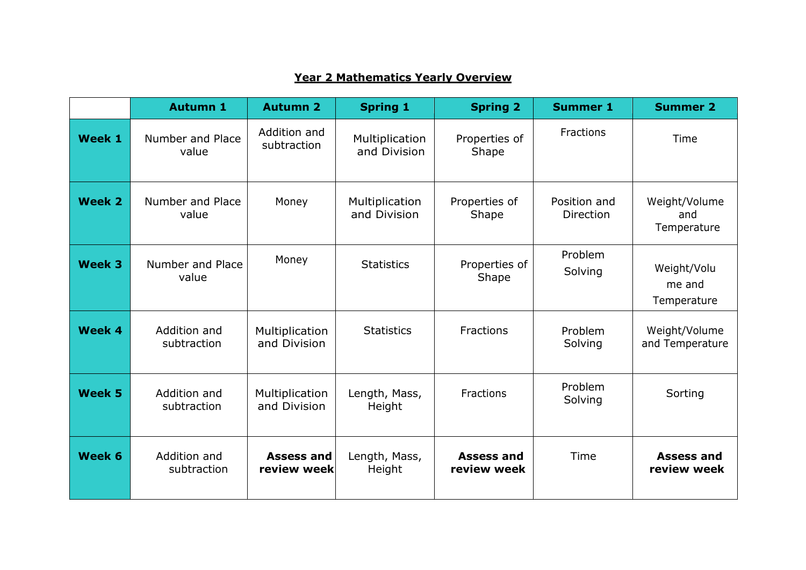|               | <b>Autumn 1</b>             | <b>Autumn 2</b>                | <b>Spring 1</b>                | <b>Spring 2</b>                  | <b>Summer 1</b>                  | <b>Summer 2</b>                      |
|---------------|-----------------------------|--------------------------------|--------------------------------|----------------------------------|----------------------------------|--------------------------------------|
| Week 1        | Number and Place<br>value   | Addition and<br>subtraction    | Multiplication<br>and Division | Properties of<br>Shape           | Fractions                        | Time                                 |
| <b>Week 2</b> | Number and Place<br>value   | Money                          | Multiplication<br>and Division | Properties of<br>Shape           | Position and<br><b>Direction</b> | Weight/Volume<br>and<br>Temperature  |
| <b>Week 3</b> | Number and Place<br>value   | Money                          | <b>Statistics</b>              | Properties of<br>Shape           | Problem<br>Solving               | Weight/Volu<br>me and<br>Temperature |
| Week 4        | Addition and<br>subtraction | Multiplication<br>and Division | <b>Statistics</b>              | Fractions                        | Problem<br>Solving               | Weight/Volume<br>and Temperature     |
| <b>Week 5</b> | Addition and<br>subtraction | Multiplication<br>and Division | Length, Mass,<br>Height        | Fractions                        | Problem<br>Solving               | Sorting                              |
| Week 6        | Addition and<br>subtraction | Assess and<br>review week      | Length, Mass,<br>Height        | <b>Assess and</b><br>review week | Time                             | <b>Assess and</b><br>review week     |

### **Year 2 Mathematics Yearly Overview**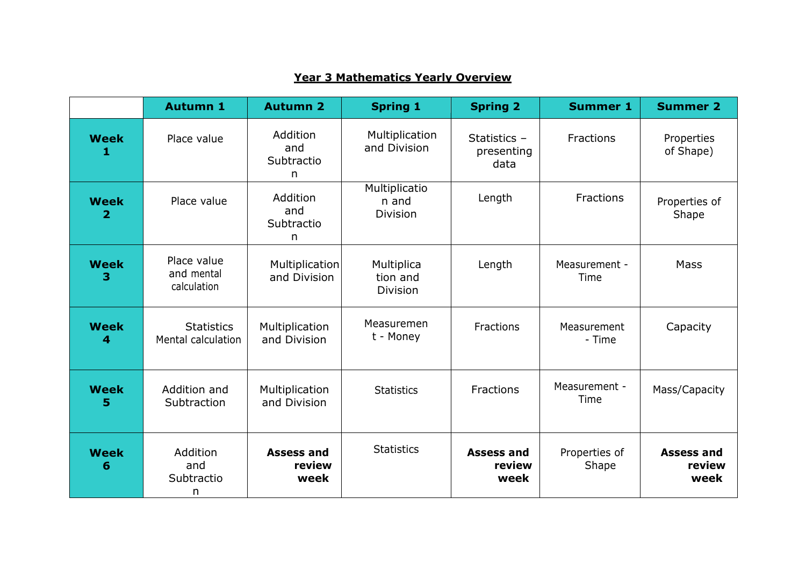|                  | <b>Autumn 1</b>                          | <b>Autumn 2</b>                     | <b>Spring 1</b>                           | <b>Spring 2</b>                      | <b>Summer 1</b>        | <b>Summer 2</b>                     |
|------------------|------------------------------------------|-------------------------------------|-------------------------------------------|--------------------------------------|------------------------|-------------------------------------|
| <b>Week</b><br>1 | Place value                              | Addition<br>and<br>Subtractio<br>n. | Multiplication<br>and Division            | Statistics $-$<br>presenting<br>data | Fractions              | Properties<br>of Shape)             |
| <b>Week</b><br>2 | Place value                              | Addition<br>and<br>Subtractio<br>n  | Multiplicatio<br>n and<br><b>Division</b> | Length                               | <b>Fractions</b>       | Properties of<br>Shape              |
| <b>Week</b><br>3 | Place value<br>and mental<br>calculation | Multiplication<br>and Division      | Multiplica<br>tion and<br><b>Division</b> | Length                               | Measurement -<br>Time  | <b>Mass</b>                         |
| <b>Week</b><br>4 | <b>Statistics</b><br>Mental calculation  | Multiplication<br>and Division      | Measuremen<br>t - Money                   | Fractions                            | Measurement<br>- Time  | Capacity                            |
| <b>Week</b><br>5 | Addition and<br>Subtraction              | Multiplication<br>and Division      | <b>Statistics</b>                         | Fractions                            | Measurement -<br>Time  | Mass/Capacity                       |
| <b>Week</b><br>6 | Addition<br>and<br>Subtractio<br>n       | <b>Assess and</b><br>review<br>week | <b>Statistics</b>                         | <b>Assess and</b><br>review<br>week  | Properties of<br>Shape | <b>Assess and</b><br>review<br>week |

### **Year 3 Mathematics Yearly Overview**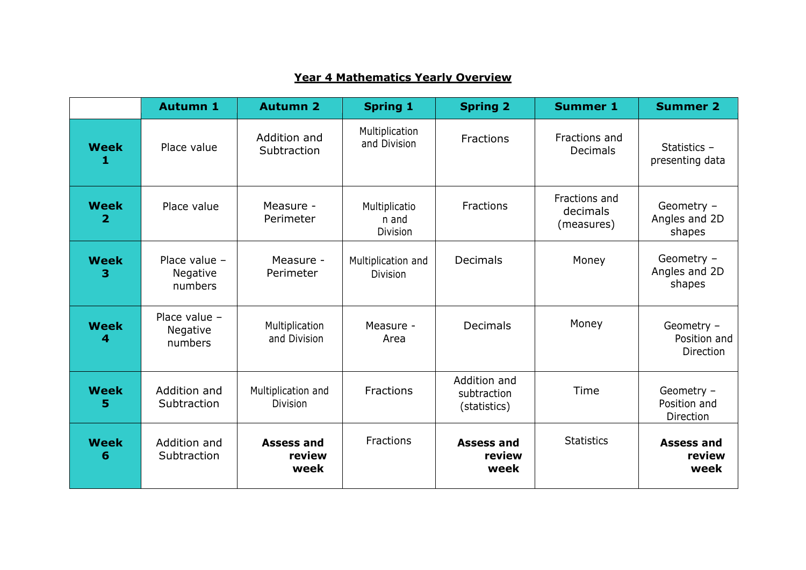|                               | <b>Autumn 1</b>                        | <b>Autumn 2</b>                       | <b>Spring 1</b>                           | <b>Spring 2</b>                             | <b>Summer 1</b>                         | <b>Summer 2</b>                         |
|-------------------------------|----------------------------------------|---------------------------------------|-------------------------------------------|---------------------------------------------|-----------------------------------------|-----------------------------------------|
| <b>Week</b><br>1              | Place value                            | Addition and<br>Subtraction           | Multiplication<br>and Division            | Fractions                                   | Fractions and<br><b>Decimals</b>        | Statistics -<br>presenting data         |
| <b>Week</b><br>$\overline{2}$ | Place value                            | Measure -<br>Perimeter                | Multiplicatio<br>n and<br><b>Division</b> | Fractions                                   | Fractions and<br>decimals<br>(measures) | Geometry -<br>Angles and 2D<br>shapes   |
| <b>Week</b><br>3              | Place value $-$<br>Negative<br>numbers | Measure -<br>Perimeter                | Multiplication and<br>Division            | <b>Decimals</b>                             | Money                                   | Geometry -<br>Angles and 2D<br>shapes   |
| <b>Week</b><br>4              | Place value $-$<br>Negative<br>numbers | Multiplication<br>and Division        | Measure -<br>Area                         | <b>Decimals</b>                             | Money                                   | Geometry -<br>Position and<br>Direction |
| <b>Week</b><br>5              | Addition and<br>Subtraction            | Multiplication and<br><b>Division</b> | <b>Fractions</b>                          | Addition and<br>subtraction<br>(statistics) | Time                                    | Geometry -<br>Position and<br>Direction |
| <b>Week</b><br>6              | Addition and<br>Subtraction            | <b>Assess and</b><br>review<br>week   | Fractions                                 | <b>Assess and</b><br>review<br>week         | <b>Statistics</b>                       | <b>Assess and</b><br>review<br>week     |

# **Year 4 Mathematics Yearly Overview**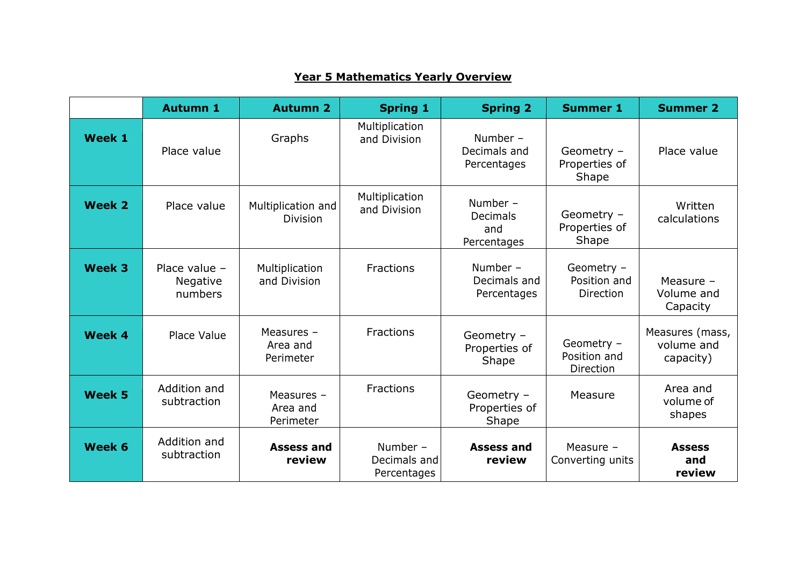|               | <b>Autumn 1</b>                      | <b>Autumn 2</b>                       | <b>Spring 1</b>                         | <b>Spring 2</b>                                   | <b>Summer 1</b>                                | <b>Summer 2</b>                            |
|---------------|--------------------------------------|---------------------------------------|-----------------------------------------|---------------------------------------------------|------------------------------------------------|--------------------------------------------|
| Week 1        | Place value                          | Graphs                                | Multiplication<br>and Division          | Number $-$<br>Decimals and<br>Percentages         | Geometry -<br>Properties of<br>Shape           | Place value                                |
| <b>Week 2</b> | Place value                          | Multiplication and<br><b>Division</b> | Multiplication<br>and Division          | Number -<br><b>Decimals</b><br>and<br>Percentages | Geometry -<br>Properties of<br>Shape           | Written<br>calculations                    |
| <b>Week 3</b> | Place value -<br>Negative<br>numbers | Multiplication<br>and Division        | <b>Fractions</b>                        | Number $-$<br>Decimals and<br>Percentages         | Geometry -<br>Position and<br><b>Direction</b> | Measure -<br>Volume and<br>Capacity        |
| Week 4        | Place Value                          | Measures -<br>Area and<br>Perimeter   | <b>Fractions</b>                        | Geometry -<br>Properties of<br>Shape              | Geometry -<br>Position and<br>Direction        | Measures (mass,<br>volume and<br>capacity) |
| <b>Week 5</b> | Addition and<br>subtraction          | Measures $-$<br>Area and<br>Perimeter | <b>Fractions</b>                        | Geometry -<br>Properties of<br>Shape              | Measure                                        | Area and<br>volume of<br>shapes            |
| Week 6        | Addition and<br>subtraction          | <b>Assess and</b><br>review           | Number -<br>Decimals and<br>Percentages | <b>Assess and</b><br>review                       | Measure -<br>Converting units                  | <b>Assess</b><br>and<br>review             |

# **Year 5 Mathematics Yearly Overview**